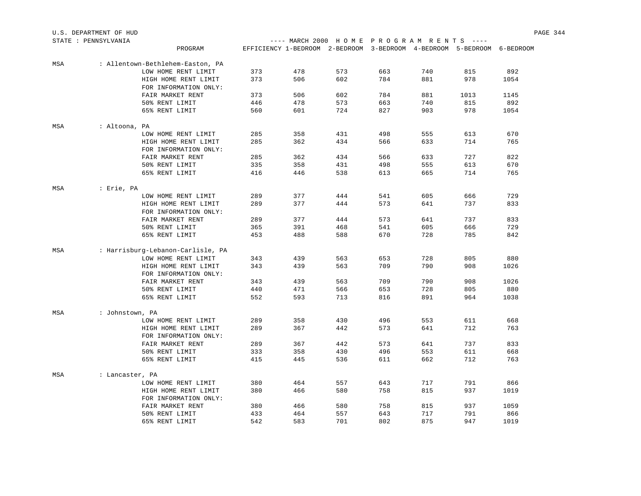| U.S. DEPARTMENT OF HUD  |      |                                      |  | PAGE 344 |
|-------------------------|------|--------------------------------------|--|----------|
| STATE .<br>PENNSYLVANIA | ---- | - MARCH 2000 HOME PROGRAM RENTS ---- |  |          |

|     | PROGRAM                           |     | EFFICIENCY 1-BEDROOM 2-BEDROOM 3-BEDROOM 4-BEDROOM 5-BEDROOM 6-BEDROOM |     |     |     |      |      |
|-----|-----------------------------------|-----|------------------------------------------------------------------------|-----|-----|-----|------|------|
| MSA | : Allentown-Bethlehem-Easton, PA  |     |                                                                        |     |     |     |      |      |
|     | LOW HOME RENT LIMIT               | 373 | 478                                                                    | 573 | 663 | 740 | 815  | 892  |
|     | HIGH HOME RENT LIMIT              | 373 | 506                                                                    | 602 | 784 | 881 | 978  | 1054 |
|     | FOR INFORMATION ONLY:             |     |                                                                        |     |     |     |      |      |
|     | FAIR MARKET RENT                  | 373 | 506                                                                    | 602 | 784 | 881 | 1013 | 1145 |
|     | 50% RENT LIMIT                    | 446 | 478                                                                    | 573 | 663 | 740 | 815  | 892  |
|     | 65% RENT LIMIT                    | 560 | 601                                                                    | 724 | 827 | 903 | 978  | 1054 |
| MSA | : Altoona, PA                     |     |                                                                        |     |     |     |      |      |
|     | LOW HOME RENT LIMIT               | 285 | 358                                                                    | 431 | 498 | 555 | 613  | 670  |
|     | HIGH HOME RENT LIMIT              | 285 | 362                                                                    | 434 | 566 | 633 | 714  | 765  |
|     | FOR INFORMATION ONLY:             |     |                                                                        |     |     |     |      |      |
|     | FAIR MARKET RENT                  | 285 | 362                                                                    | 434 | 566 | 633 | 727  | 822  |
|     | 50% RENT LIMIT                    | 335 | 358                                                                    | 431 | 498 | 555 | 613  | 670  |
|     | 65% RENT LIMIT                    | 416 | 446                                                                    | 538 | 613 | 665 | 714  | 765  |
| MSA | : Erie, PA                        |     |                                                                        |     |     |     |      |      |
|     | LOW HOME RENT LIMIT               | 289 | 377                                                                    | 444 | 541 | 605 | 666  | 729  |
|     | HIGH HOME RENT LIMIT              | 289 | 377                                                                    | 444 | 573 | 641 | 737  | 833  |
|     | FOR INFORMATION ONLY:             |     |                                                                        |     |     |     |      |      |
|     | FAIR MARKET RENT                  | 289 | 377                                                                    | 444 | 573 | 641 | 737  | 833  |
|     | 50% RENT LIMIT                    | 365 | 391                                                                    | 468 | 541 | 605 | 666  | 729  |
|     | 65% RENT LIMIT                    | 453 | 488                                                                    | 588 | 670 | 728 | 785  | 842  |
| MSA | : Harrisburg-Lebanon-Carlisle, PA |     |                                                                        |     |     |     |      |      |
|     | LOW HOME RENT LIMIT               | 343 | 439                                                                    | 563 | 653 | 728 | 805  | 880  |
|     | HIGH HOME RENT LIMIT              | 343 | 439                                                                    | 563 | 709 | 790 | 908  | 1026 |
|     | FOR INFORMATION ONLY:             |     |                                                                        |     |     |     |      |      |
|     | FAIR MARKET RENT                  | 343 | 439                                                                    | 563 | 709 | 790 | 908  | 1026 |
|     | 50% RENT LIMIT                    | 440 | 471                                                                    | 566 | 653 | 728 | 805  | 880  |
|     | 65% RENT LIMIT                    | 552 | 593                                                                    | 713 | 816 | 891 | 964  | 1038 |
| MSA | : Johnstown, PA                   |     |                                                                        |     |     |     |      |      |
|     | LOW HOME RENT LIMIT               | 289 | 358                                                                    | 430 | 496 | 553 | 611  | 668  |
|     | HIGH HOME RENT LIMIT              | 289 | 367                                                                    | 442 | 573 | 641 | 712  | 763  |
|     | FOR INFORMATION ONLY:             |     |                                                                        |     |     |     |      |      |
|     | FAIR MARKET RENT                  | 289 | 367                                                                    | 442 | 573 | 641 | 737  | 833  |
|     | 50% RENT LIMIT                    | 333 | 358                                                                    | 430 | 496 | 553 | 611  | 668  |
|     | 65% RENT LIMIT                    | 415 | 445                                                                    | 536 | 611 | 662 | 712  | 763  |
| MSA | : Lancaster, PA                   |     |                                                                        |     |     |     |      |      |
|     | LOW HOME RENT LIMIT               | 380 | 464                                                                    | 557 | 643 | 717 | 791  | 866  |
|     | HIGH HOME RENT LIMIT              | 380 | 466                                                                    | 580 | 758 | 815 | 937  | 1019 |
|     | FOR INFORMATION ONLY:             |     |                                                                        |     |     |     |      |      |
|     | FAIR MARKET RENT                  | 380 | 466                                                                    | 580 | 758 | 815 | 937  | 1059 |
|     | 50% RENT LIMIT                    | 433 | 464                                                                    | 557 | 643 | 717 | 791  | 866  |
|     | 65% RENT LIMIT                    | 542 | 583                                                                    | 701 | 802 | 875 | 947  | 1019 |
|     |                                   |     |                                                                        |     |     |     |      |      |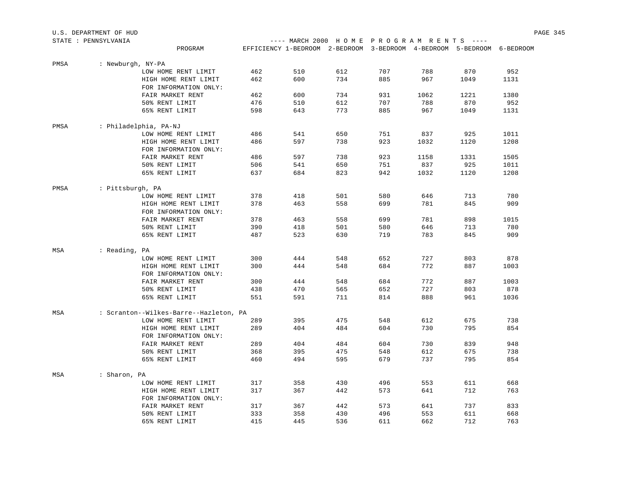|      | U.S. DEPARTMENT OF HUD                 |     |                                                                        |     |     |      |      |      | PAGE 345 |
|------|----------------------------------------|-----|------------------------------------------------------------------------|-----|-----|------|------|------|----------|
|      | STATE : PENNSYLVANIA                   |     | ---- MARCH 2000 HOME PROGRAM RENTS ----                                |     |     |      |      |      |          |
|      | PROGRAM                                |     | EFFICIENCY 1-BEDROOM 2-BEDROOM 3-BEDROOM 4-BEDROOM 5-BEDROOM 6-BEDROOM |     |     |      |      |      |          |
| PMSA | : Newburgh, NY-PA                      |     |                                                                        |     |     |      |      |      |          |
|      | LOW HOME RENT LIMIT                    | 462 | 510                                                                    | 612 | 707 | 788  | 870  | 952  |          |
|      | HIGH HOME RENT LIMIT                   | 462 | 600                                                                    | 734 | 885 | 967  | 1049 | 1131 |          |
|      | FOR INFORMATION ONLY:                  |     |                                                                        |     |     |      |      |      |          |
|      | FAIR MARKET RENT                       | 462 | 600                                                                    | 734 | 931 | 1062 | 1221 | 1380 |          |
|      | 50% RENT LIMIT                         | 476 | 510                                                                    | 612 | 707 | 788  | 870  | 952  |          |
|      | 65% RENT LIMIT                         | 598 | 643                                                                    | 773 | 885 | 967  | 1049 | 1131 |          |
| PMSA | : Philadelphia, PA-NJ                  |     |                                                                        |     |     |      |      |      |          |
|      | LOW HOME RENT LIMIT                    | 486 | 541                                                                    | 650 | 751 | 837  | 925  | 1011 |          |
|      | HIGH HOME RENT LIMIT                   | 486 | 597                                                                    | 738 | 923 | 1032 | 1120 | 1208 |          |
|      | FOR INFORMATION ONLY:                  |     |                                                                        |     |     |      |      |      |          |
|      | FAIR MARKET RENT                       | 486 | 597                                                                    | 738 | 923 | 1158 | 1331 | 1505 |          |
|      | 50% RENT LIMIT                         | 506 | 541                                                                    | 650 | 751 | 837  | 925  | 1011 |          |
|      | 65% RENT LIMIT                         | 637 | 684                                                                    | 823 | 942 | 1032 | 1120 | 1208 |          |
| PMSA | : Pittsburgh, PA                       |     |                                                                        |     |     |      |      |      |          |
|      | LOW HOME RENT LIMIT                    | 378 | 418                                                                    | 501 | 580 | 646  | 713  | 780  |          |
|      | HIGH HOME RENT LIMIT                   | 378 | 463                                                                    | 558 | 699 | 781  | 845  | 909  |          |
|      | FOR INFORMATION ONLY:                  |     |                                                                        |     |     |      |      |      |          |
|      | FAIR MARKET RENT                       | 378 | 463                                                                    | 558 | 699 | 781  | 898  | 1015 |          |
|      | 50% RENT LIMIT                         | 390 | 418                                                                    | 501 | 580 | 646  | 713  | 780  |          |
|      | 65% RENT LIMIT                         | 487 | 523                                                                    | 630 | 719 | 783  | 845  | 909  |          |
| MSA  | : Reading, PA                          |     |                                                                        |     |     |      |      |      |          |
|      | LOW HOME RENT LIMIT                    | 300 | 444                                                                    | 548 | 652 | 727  | 803  | 878  |          |
|      | HIGH HOME RENT LIMIT                   | 300 | 444                                                                    | 548 | 684 | 772  | 887  | 1003 |          |
|      | FOR INFORMATION ONLY:                  |     |                                                                        |     |     |      |      |      |          |
|      | FAIR MARKET RENT                       | 300 | 444                                                                    | 548 | 684 | 772  | 887  | 1003 |          |
|      | 50% RENT LIMIT                         | 438 | 470                                                                    | 565 | 652 | 727  | 803  | 878  |          |
|      | 65% RENT LIMIT                         | 551 | 591                                                                    | 711 | 814 | 888  | 961  | 1036 |          |
| MSA  | : Scranton--Wilkes-Barre--Hazleton, PA |     |                                                                        |     |     |      |      |      |          |
|      | LOW HOME RENT LIMIT                    | 289 | 395                                                                    | 475 | 548 | 612  | 675  | 738  |          |
|      | HIGH HOME RENT LIMIT                   | 289 | 404                                                                    | 484 | 604 | 730  | 795  | 854  |          |
|      | FOR INFORMATION ONLY:                  |     |                                                                        |     |     |      |      |      |          |
|      | FAIR MARKET RENT                       | 289 | 404                                                                    | 484 | 604 | 730  | 839  | 948  |          |
|      | 50% RENT LIMIT                         | 368 | 395                                                                    | 475 | 548 | 612  | 675  | 738  |          |
|      | 65% RENT LIMIT                         | 460 | 494                                                                    | 595 | 679 | 737  | 795  | 854  |          |
| MSA  | : Sharon, PA                           |     |                                                                        |     |     |      |      |      |          |
|      | LOW HOME RENT LIMIT                    | 317 | 358                                                                    | 430 | 496 | 553  | 611  | 668  |          |
|      | HIGH HOME RENT LIMIT                   | 317 | 367                                                                    | 442 | 573 | 641  | 712  | 763  |          |
|      | FOR INFORMATION ONLY:                  |     |                                                                        |     |     |      |      |      |          |
|      | FAIR MARKET RENT                       | 317 | 367                                                                    | 442 | 573 | 641  | 737  | 833  |          |
|      | 50% RENT LIMIT                         | 333 | 358                                                                    | 430 | 496 | 553  | 611  | 668  |          |
|      | 65% RENT LIMIT                         | 415 | 445                                                                    | 536 | 611 | 662  | 712  | 763  |          |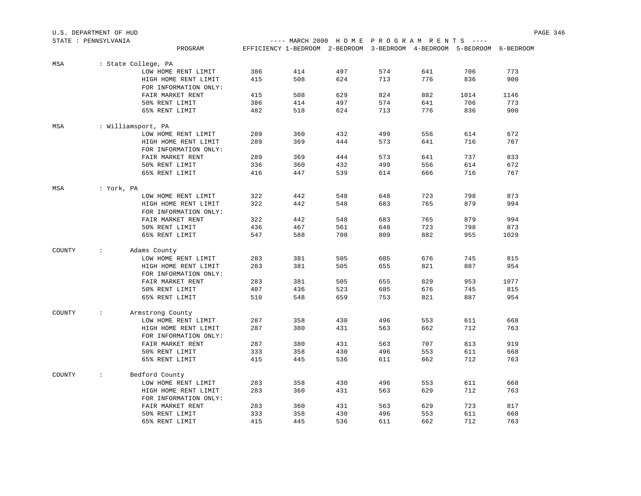| U.S. DEPARTMENT OF HUD |                      |                       |     |                                                                        |     |     |     |      |      | PAGE 346 |
|------------------------|----------------------|-----------------------|-----|------------------------------------------------------------------------|-----|-----|-----|------|------|----------|
| STATE : PENNSYLVANIA   |                      |                       |     | ---- MARCH 2000 HOME PROGRAM RENTS ----                                |     |     |     |      |      |          |
|                        |                      | PROGRAM               |     | EFFICIENCY 1-BEDROOM 2-BEDROOM 3-BEDROOM 4-BEDROOM 5-BEDROOM 6-BEDROOM |     |     |     |      |      |          |
| MSA                    | : State College, PA  |                       |     |                                                                        |     |     |     |      |      |          |
|                        |                      | LOW HOME RENT LIMIT   | 386 | 414                                                                    | 497 | 574 | 641 | 706  | 773  |          |
|                        |                      | HIGH HOME RENT LIMIT  | 415 | 508                                                                    | 624 | 713 | 776 | 836  | 900  |          |
|                        |                      | FOR INFORMATION ONLY: |     |                                                                        |     |     |     |      |      |          |
|                        |                      | FAIR MARKET RENT      | 415 | 508                                                                    | 629 | 824 | 882 | 1014 | 1146 |          |
|                        |                      | 50% RENT LIMIT        | 386 | 414                                                                    | 497 | 574 | 641 | 706  | 773  |          |
|                        |                      | 65% RENT LIMIT        | 482 | 518                                                                    | 624 | 713 | 776 | 836  | 900  |          |
| MSA                    | : Williamsport, PA   |                       |     |                                                                        |     |     |     |      |      |          |
|                        |                      | LOW HOME RENT LIMIT   | 289 | 360                                                                    | 432 | 499 | 556 | 614  | 672  |          |
|                        |                      | HIGH HOME RENT LIMIT  | 289 | 369                                                                    | 444 | 573 | 641 | 716  | 767  |          |
|                        |                      | FOR INFORMATION ONLY: |     |                                                                        |     |     |     |      |      |          |
|                        |                      | FAIR MARKET RENT      | 289 | 369                                                                    | 444 | 573 | 641 | 737  | 833  |          |
|                        |                      | 50% RENT LIMIT        | 336 | 360                                                                    | 432 | 499 | 556 | 614  | 672  |          |
|                        |                      | 65% RENT LIMIT        | 416 | 447                                                                    | 539 | 614 | 666 | 716  | 767  |          |
| MSA                    | : York, PA           |                       |     |                                                                        |     |     |     |      |      |          |
|                        |                      | LOW HOME RENT LIMIT   | 322 | 442                                                                    | 548 | 648 | 723 | 798  | 873  |          |
|                        |                      | HIGH HOME RENT LIMIT  | 322 | 442                                                                    | 548 | 683 | 765 | 879  | 994  |          |
|                        |                      | FOR INFORMATION ONLY: |     |                                                                        |     |     |     |      |      |          |
|                        |                      | FAIR MARKET RENT      | 322 | 442                                                                    | 548 | 683 | 765 | 879  | 994  |          |
|                        |                      | 50% RENT LIMIT        | 436 | 467                                                                    | 561 | 648 | 723 | 798  | 873  |          |
|                        |                      | 65% RENT LIMIT        | 547 | 588                                                                    | 708 | 809 | 882 | 955  | 1029 |          |
|                        |                      |                       |     |                                                                        |     |     |     |      |      |          |
| COUNTY                 | $\ddot{\phantom{a}}$ | Adams County          |     |                                                                        |     |     |     |      |      |          |
|                        |                      | LOW HOME RENT LIMIT   | 283 | 381                                                                    | 505 | 605 | 676 | 745  | 815  |          |
|                        |                      | HIGH HOME RENT LIMIT  | 283 | 381                                                                    | 505 | 655 | 821 | 887  | 954  |          |
|                        |                      | FOR INFORMATION ONLY: |     |                                                                        |     |     |     |      |      |          |
|                        |                      | FAIR MARKET RENT      | 283 | 381                                                                    | 505 | 655 | 829 | 953  | 1077 |          |
|                        |                      | 50% RENT LIMIT        | 407 | 436                                                                    | 523 | 605 | 676 | 745  | 815  |          |
|                        |                      | 65% RENT LIMIT        | 510 | 548                                                                    | 659 | 753 | 821 | 887  | 954  |          |
| COUNTY                 | $\ddot{\phantom{a}}$ | Armstrong County      |     |                                                                        |     |     |     |      |      |          |
|                        |                      | LOW HOME RENT LIMIT   | 287 | 358                                                                    | 430 | 496 | 553 | 611  | 668  |          |
|                        |                      | HIGH HOME RENT LIMIT  | 287 | 380                                                                    | 431 | 563 | 662 | 712  | 763  |          |
|                        |                      | FOR INFORMATION ONLY: |     |                                                                        |     |     |     |      |      |          |
|                        |                      | FAIR MARKET RENT      | 287 | 380                                                                    | 431 | 563 | 707 | 813  | 919  |          |
|                        |                      | 50% RENT LIMIT        | 333 | 358                                                                    | 430 | 496 | 553 | 611  | 668  |          |
|                        |                      | 65% RENT LIMIT        | 415 | 445                                                                    | 536 | 611 | 662 | 712  | 763  |          |
| COUNTY                 | $\ddot{\phantom{a}}$ | Bedford County        |     |                                                                        |     |     |     |      |      |          |
|                        |                      | LOW HOME RENT LIMIT   | 283 | 358                                                                    | 430 | 496 | 553 | 611  | 668  |          |
|                        |                      | HIGH HOME RENT LIMIT  | 283 | 360                                                                    | 431 | 563 | 629 | 712  | 763  |          |
|                        |                      | FOR INFORMATION ONLY: |     |                                                                        |     |     |     |      |      |          |
|                        |                      | FAIR MARKET RENT      | 283 | 360                                                                    | 431 | 563 | 629 | 723  | 817  |          |
|                        |                      | 50% RENT LIMIT        | 333 | 358                                                                    | 430 | 496 | 553 | 611  | 668  |          |
|                        |                      | 65% RENT LIMIT        | 415 | 445                                                                    | 536 | 611 | 662 | 712  | 763  |          |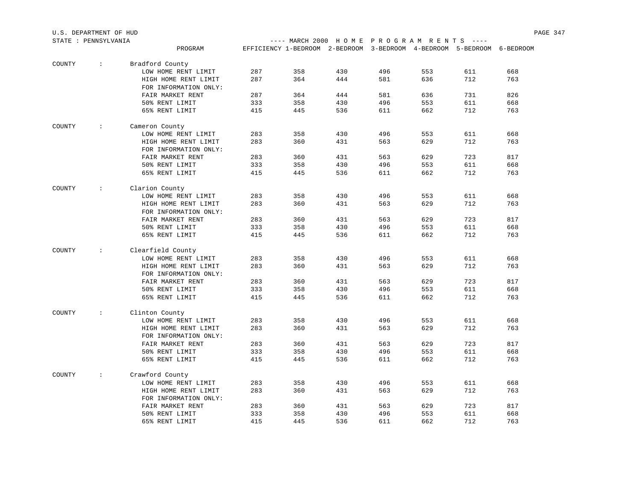| STATE : PENNSYLVANIA |                         |                                  |            |                                                                        |            |     | ---- MARCH 2000 HOME PROGRAM RENTS ---- |            |     |  |  |
|----------------------|-------------------------|----------------------------------|------------|------------------------------------------------------------------------|------------|-----|-----------------------------------------|------------|-----|--|--|
|                      |                         | PROGRAM                          |            | EFFICIENCY 1-BEDROOM 2-BEDROOM 3-BEDROOM 4-BEDROOM 5-BEDROOM 6-BEDROOM |            |     |                                         |            |     |  |  |
| COUNTY               | <b>Barbara</b>          | Bradford County                  |            |                                                                        |            |     |                                         |            |     |  |  |
|                      |                         | LOW HOME RENT LIMIT              | 287        | 358                                                                    | 430        | 496 | 553                                     | 611        | 668 |  |  |
|                      |                         | HIGH HOME RENT LIMIT             | 287        | 364                                                                    | 444        | 581 | 636                                     | 712        | 763 |  |  |
|                      |                         | FOR INFORMATION ONLY:            |            |                                                                        |            |     |                                         |            |     |  |  |
|                      |                         | FAIR MARKET RENT                 | 287        | 364                                                                    | 444        | 581 | 636                                     | 731        | 826 |  |  |
|                      |                         | 50% RENT LIMIT                   | 333        | 358                                                                    | 430        | 496 | 553                                     | 611        | 668 |  |  |
|                      |                         | 65% RENT LIMIT                   | 415        | 445                                                                    | 536        | 611 | 662                                     | 712        | 763 |  |  |
|                      |                         |                                  |            |                                                                        |            |     |                                         |            |     |  |  |
| COUNTY               | $\sim 100$ km s $^{-1}$ | Cameron County                   |            |                                                                        |            |     |                                         |            |     |  |  |
|                      |                         | LOW HOME RENT LIMIT              | 283        | 358                                                                    | 430        | 496 | 553                                     | 611        | 668 |  |  |
|                      |                         | HIGH HOME RENT LIMIT             | 283        | 360                                                                    | 431        | 563 | 629                                     | 712        | 763 |  |  |
|                      |                         | FOR INFORMATION ONLY:            |            |                                                                        |            |     |                                         |            |     |  |  |
|                      |                         | FAIR MARKET RENT                 | 283        | 360                                                                    | 431        | 563 | 629                                     | 723        | 817 |  |  |
|                      |                         | 50% RENT LIMIT                   | 333        | 358                                                                    | 430        | 496 | 553                                     | 611        | 668 |  |  |
|                      |                         | 65% RENT LIMIT                   | 415        | 445                                                                    | 536        | 611 | 662                                     | 712        | 763 |  |  |
| COUNTY               | $\sim$ $\sim$ $\sim$    | Clarion County                   |            |                                                                        |            |     |                                         |            |     |  |  |
|                      |                         | LOW HOME RENT LIMIT              | 283        | 358                                                                    | 430        | 496 | 553                                     | 611        | 668 |  |  |
|                      |                         | HIGH HOME RENT LIMIT             | 283        | 360                                                                    | 431        | 563 | 629                                     | 712        | 763 |  |  |
|                      |                         | FOR INFORMATION ONLY:            |            |                                                                        |            |     |                                         |            |     |  |  |
|                      |                         | FAIR MARKET RENT                 | 283        | 360                                                                    | 431        | 563 | 629                                     | 723        | 817 |  |  |
|                      |                         | 50% RENT LIMIT                   | 333        | 358                                                                    | 430        | 496 | 553                                     | 611        | 668 |  |  |
|                      |                         | 65% RENT LIMIT                   | 415        | 445                                                                    | 536        | 611 | 662                                     | 712        | 763 |  |  |
| COUNTY               | $\sim$ 100 $\pm$        | Clearfield County                |            |                                                                        |            |     |                                         |            |     |  |  |
|                      |                         | LOW HOME RENT LIMIT              | 283        | 358                                                                    | 430        | 496 | 553                                     | 611        | 668 |  |  |
|                      |                         | HIGH HOME RENT LIMIT             | 283        | 360                                                                    | 431        | 563 | 629                                     | 712        | 763 |  |  |
|                      |                         | FOR INFORMATION ONLY:            |            |                                                                        |            |     |                                         |            |     |  |  |
|                      |                         | FAIR MARKET RENT                 | 283        | 360                                                                    | 431        | 563 | 629                                     | 723        | 817 |  |  |
|                      |                         |                                  |            |                                                                        |            | 496 |                                         |            | 668 |  |  |
|                      |                         | 50% RENT LIMIT<br>65% RENT LIMIT | 333<br>415 | 358<br>445                                                             | 430<br>536 | 611 | 553<br>662                              | 611<br>712 | 763 |  |  |
|                      |                         |                                  |            |                                                                        |            |     |                                         |            |     |  |  |
| COUNTY               | $\sim$ $\sim$ $\sim$    | Clinton County                   |            |                                                                        |            |     |                                         |            |     |  |  |
|                      |                         | LOW HOME RENT LIMIT              | 283        | 358                                                                    | 430        | 496 | 553                                     | 611        | 668 |  |  |
|                      |                         | HIGH HOME RENT LIMIT             | 283        | 360                                                                    | 431        | 563 | 629                                     | 712        | 763 |  |  |
|                      |                         | FOR INFORMATION ONLY:            |            |                                                                        |            |     |                                         |            |     |  |  |
|                      |                         | FAIR MARKET RENT                 | 283        | 360                                                                    | 431        | 563 | 629                                     | 723        | 817 |  |  |
|                      |                         | 50% RENT LIMIT                   | 333        | 358                                                                    | 430        | 496 | 553                                     | 611        | 668 |  |  |
|                      |                         | 65% RENT LIMIT                   | 415        | 445                                                                    | 536        | 611 | 662                                     | 712        | 763 |  |  |
| COUNTY               | $\sim$ $\sim$           | Crawford County                  |            |                                                                        |            |     |                                         |            |     |  |  |
|                      |                         | LOW HOME RENT LIMIT              | 283        | 358                                                                    | 430        | 496 | 553                                     | 611        | 668 |  |  |
|                      |                         | HIGH HOME RENT LIMIT             | 283        | 360                                                                    | 431        | 563 | 629                                     | 712        | 763 |  |  |
|                      |                         | FOR INFORMATION ONLY:            |            |                                                                        |            |     |                                         |            |     |  |  |
|                      |                         | FAIR MARKET RENT                 | 283        | 360                                                                    | 431        | 563 | 629                                     | 723        | 817 |  |  |
|                      |                         | 50% RENT LIMIT                   | 333        | 358                                                                    | 430        | 496 | 553                                     | 611        | 668 |  |  |
|                      |                         | 65% RENT LIMIT                   | 415        | 445                                                                    | 536        | 611 | 662                                     | 712        | 763 |  |  |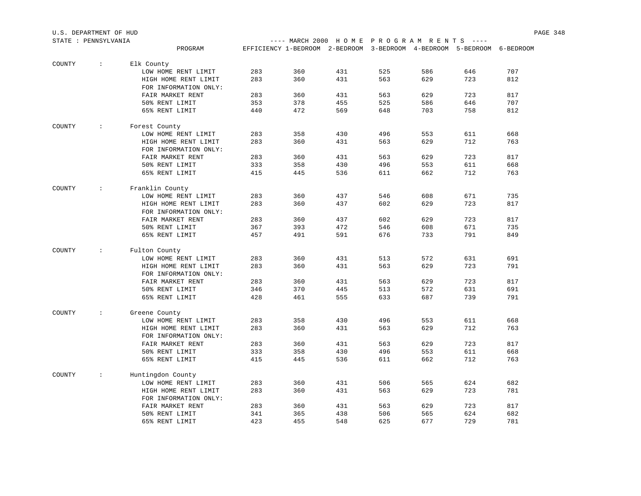| STATE : PENNSYLVANIA |                   |                       |     |     |                                                                        |     | ---- MARCH 2000 HOME PROGRAM RENTS ---- |     |     |  |  |
|----------------------|-------------------|-----------------------|-----|-----|------------------------------------------------------------------------|-----|-----------------------------------------|-----|-----|--|--|
|                      |                   | PROGRAM               |     |     | EFFICIENCY 1-BEDROOM 2-BEDROOM 3-BEDROOM 4-BEDROOM 5-BEDROOM 6-BEDROOM |     |                                         |     |     |  |  |
| COUNTY               | $\cdot$ :         | Elk County            |     |     |                                                                        |     |                                         |     |     |  |  |
|                      |                   | LOW HOME RENT LIMIT   | 283 | 360 | 431                                                                    | 525 | 586                                     | 646 | 707 |  |  |
|                      |                   | HIGH HOME RENT LIMIT  | 283 | 360 | 431                                                                    | 563 | 629                                     | 723 | 812 |  |  |
|                      |                   | FOR INFORMATION ONLY: |     |     |                                                                        |     |                                         |     |     |  |  |
|                      |                   | FAIR MARKET RENT      | 283 | 360 | 431                                                                    | 563 | 629                                     | 723 | 817 |  |  |
|                      |                   | 50% RENT LIMIT        | 353 | 378 | 455                                                                    | 525 | 586                                     | 646 | 707 |  |  |
|                      |                   | 65% RENT LIMIT        | 440 | 472 | 569                                                                    | 648 | 703                                     | 758 | 812 |  |  |
| COUNTY               | $\sim$ 1.1        | Forest County         |     |     |                                                                        |     |                                         |     |     |  |  |
|                      |                   | LOW HOME RENT LIMIT   | 283 | 358 | 430                                                                    | 496 | 553                                     | 611 | 668 |  |  |
|                      |                   | HIGH HOME RENT LIMIT  | 283 | 360 | 431                                                                    | 563 | 629                                     | 712 | 763 |  |  |
|                      |                   | FOR INFORMATION ONLY: |     |     |                                                                        |     |                                         |     |     |  |  |
|                      |                   | FAIR MARKET RENT      | 283 | 360 | 431                                                                    | 563 | 629                                     | 723 | 817 |  |  |
|                      |                   | 50% RENT LIMIT        | 333 | 358 | 430                                                                    | 496 | 553                                     | 611 | 668 |  |  |
|                      |                   | 65% RENT LIMIT        | 415 | 445 | 536                                                                    | 611 | 662                                     | 712 | 763 |  |  |
| COUNTY               | $\sim$ 100 $\sim$ | Franklin County       |     |     |                                                                        |     |                                         |     |     |  |  |
|                      |                   | LOW HOME RENT LIMIT   | 283 | 360 | 437                                                                    | 546 | 608                                     | 671 | 735 |  |  |
|                      |                   | HIGH HOME RENT LIMIT  | 283 | 360 | 437                                                                    | 602 | 629                                     | 723 | 817 |  |  |
|                      |                   | FOR INFORMATION ONLY: |     |     |                                                                        |     |                                         |     |     |  |  |
|                      |                   | FAIR MARKET RENT      | 283 | 360 | 437                                                                    | 602 | 629                                     | 723 | 817 |  |  |
|                      |                   | 50% RENT LIMIT        | 367 | 393 | 472                                                                    | 546 | 608                                     | 671 | 735 |  |  |
|                      |                   | 65% RENT LIMIT        | 457 | 491 | 591                                                                    | 676 | 733                                     | 791 | 849 |  |  |
| COUNTY               | $\mathcal{L}$     | Fulton County         |     |     |                                                                        |     |                                         |     |     |  |  |
|                      |                   | LOW HOME RENT LIMIT   | 283 | 360 | 431                                                                    | 513 | 572                                     | 631 | 691 |  |  |
|                      |                   | HIGH HOME RENT LIMIT  | 283 | 360 | 431                                                                    | 563 | 629                                     | 723 | 791 |  |  |
|                      |                   | FOR INFORMATION ONLY: |     |     |                                                                        |     |                                         |     |     |  |  |
|                      |                   | FAIR MARKET RENT      | 283 | 360 | 431                                                                    | 563 | 629                                     | 723 | 817 |  |  |
|                      |                   | 50% RENT LIMIT        | 346 | 370 | 445                                                                    | 513 | 572                                     | 631 | 691 |  |  |
|                      |                   | 65% RENT LIMIT        | 428 | 461 | 555                                                                    | 633 | 687                                     | 739 | 791 |  |  |
| COUNTY               | $\mathbb{R}^n$    | Greene County         |     |     |                                                                        |     |                                         |     |     |  |  |
|                      |                   | LOW HOME RENT LIMIT   | 283 | 358 | 430                                                                    | 496 | 553                                     | 611 | 668 |  |  |
|                      |                   | HIGH HOME RENT LIMIT  | 283 | 360 | 431                                                                    | 563 | 629                                     | 712 | 763 |  |  |
|                      |                   | FOR INFORMATION ONLY: |     |     |                                                                        |     |                                         |     |     |  |  |
|                      |                   | FAIR MARKET RENT      | 283 | 360 | 431                                                                    | 563 | 629                                     | 723 | 817 |  |  |
|                      |                   | 50% RENT LIMIT        | 333 | 358 | 430                                                                    | 496 | 553                                     | 611 | 668 |  |  |
|                      |                   | 65% RENT LIMIT        | 415 | 445 | 536                                                                    | 611 | 662                                     | 712 | 763 |  |  |
| COUNTY               | $\cdot$ :         | Huntingdon County     |     |     |                                                                        |     |                                         |     |     |  |  |
|                      |                   | LOW HOME RENT LIMIT   | 283 | 360 | 431                                                                    | 506 | 565                                     | 624 | 682 |  |  |
|                      |                   | HIGH HOME RENT LIMIT  | 283 | 360 | 431                                                                    | 563 | 629                                     | 723 | 781 |  |  |
|                      |                   | FOR INFORMATION ONLY: |     |     |                                                                        |     |                                         |     |     |  |  |
|                      |                   | FAIR MARKET RENT      | 283 | 360 | 431                                                                    | 563 | 629                                     | 723 | 817 |  |  |
|                      |                   | 50% RENT LIMIT        | 341 | 365 | 438                                                                    | 506 | 565                                     | 624 | 682 |  |  |
|                      |                   | 65% RENT LIMIT        | 423 | 455 | 548                                                                    | 625 | 677                                     | 729 | 781 |  |  |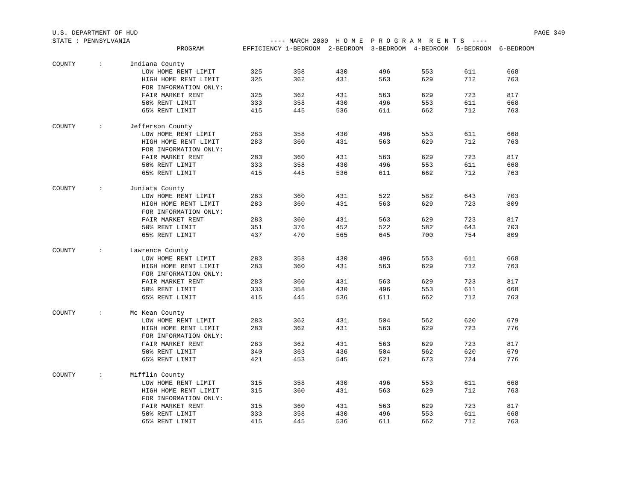| STATE : PENNSYLVANIA |                         |                       |            |                                                                        |            |            | ---- MARCH 2000 HOME PROGRAM RENTS ---- |            |            |  |  |
|----------------------|-------------------------|-----------------------|------------|------------------------------------------------------------------------|------------|------------|-----------------------------------------|------------|------------|--|--|
|                      |                         | PROGRAM               |            | EFFICIENCY 1-BEDROOM 2-BEDROOM 3-BEDROOM 4-BEDROOM 5-BEDROOM 6-BEDROOM |            |            |                                         |            |            |  |  |
|                      |                         |                       |            |                                                                        |            |            |                                         |            |            |  |  |
| COUNTY               | <b>Contractor</b>       | Indiana County        |            |                                                                        |            |            |                                         |            |            |  |  |
|                      |                         | LOW HOME RENT LIMIT   | 325        | 358                                                                    | 430        | 496        | 553                                     | 611        | 668        |  |  |
|                      |                         | HIGH HOME RENT LIMIT  | 325        | 362                                                                    | 431        | 563        | 629                                     | 712        | 763        |  |  |
|                      |                         | FOR INFORMATION ONLY: |            |                                                                        |            |            |                                         |            |            |  |  |
|                      |                         | FAIR MARKET RENT      | 325        | 362                                                                    | 431        | 563        | 629                                     | 723        | 817        |  |  |
|                      |                         | 50% RENT LIMIT        | 333        | 358                                                                    | 430        | 496        | 553                                     | 611        | 668        |  |  |
|                      |                         | 65% RENT LIMIT        | 415        | 445                                                                    | 536        | 611        | 662                                     | 712        | 763        |  |  |
| COUNTY               | <b>Contractor</b>       | Jefferson County      |            |                                                                        |            |            |                                         |            |            |  |  |
|                      |                         | LOW HOME RENT LIMIT   | 283        | 358                                                                    | 430        | 496        | 553                                     | 611        | 668        |  |  |
|                      |                         | HIGH HOME RENT LIMIT  | 283        | 360                                                                    | 431        | 563        | 629                                     | 712        | 763        |  |  |
|                      |                         | FOR INFORMATION ONLY: |            |                                                                        |            |            |                                         |            |            |  |  |
|                      |                         | FAIR MARKET RENT      | 283        | 360                                                                    | 431        | 563        | 629                                     | 723        | 817        |  |  |
|                      |                         | 50% RENT LIMIT        | 333        | 358                                                                    | 430        | 496        | 553                                     | 611        | 668        |  |  |
|                      |                         | 65% RENT LIMIT        | 415        | 445                                                                    | 536        | 611        | 662                                     | 712        | 763        |  |  |
|                      |                         |                       |            |                                                                        |            |            |                                         |            |            |  |  |
| COUNTY               | $\sim 100$              | Juniata County        |            |                                                                        |            |            |                                         |            |            |  |  |
|                      |                         | LOW HOME RENT LIMIT   | 283        | 360                                                                    | 431        | 522        | 582                                     | 643        | 703<br>809 |  |  |
|                      |                         | HIGH HOME RENT LIMIT  | 283        | 360                                                                    | 431        | 563        | 629                                     | 723        |            |  |  |
|                      |                         | FOR INFORMATION ONLY: |            |                                                                        |            |            |                                         |            |            |  |  |
|                      |                         | FAIR MARKET RENT      | 283        | 360                                                                    | 431        | 563        | 629                                     | 723        | 817        |  |  |
|                      |                         | 50% RENT LIMIT        | 351        | 376                                                                    | 452        | 522        | 582                                     | 643        | 703        |  |  |
|                      |                         | 65% RENT LIMIT        | 437        | 470                                                                    | 565        | 645        | 700                                     | 754        | 809        |  |  |
| COUNTY               | $\sim 100$ M $_{\odot}$ | Lawrence County       |            |                                                                        |            |            |                                         |            |            |  |  |
|                      |                         | LOW HOME RENT LIMIT   | 283        | 358                                                                    | 430        | 496        | 553                                     | 611        | 668        |  |  |
|                      |                         | HIGH HOME RENT LIMIT  | 283        | 360                                                                    | 431        | 563        | 629                                     | 712        | 763        |  |  |
|                      |                         | FOR INFORMATION ONLY: |            |                                                                        |            |            |                                         |            |            |  |  |
|                      |                         | FAIR MARKET RENT      | 283        | 360                                                                    | 431        | 563        | 629                                     | 723        | 817        |  |  |
|                      |                         | 50% RENT LIMIT        | 333        | 358                                                                    | 430        | 496        | 553                                     | 611        | 668        |  |  |
|                      |                         | 65% RENT LIMIT        | 415        | 445                                                                    | 536        | 611        | 662                                     | 712        | 763        |  |  |
|                      |                         |                       |            |                                                                        |            |            |                                         |            |            |  |  |
| COUNTY               | $\sim 100$              | Mc Kean County        | 283        | 362                                                                    | 431        | 504        | 562                                     | 620        | 679        |  |  |
|                      |                         | LOW HOME RENT LIMIT   | 283        | 362                                                                    | 431        | 563        | 629                                     | 723        | 776        |  |  |
|                      |                         | HIGH HOME RENT LIMIT  |            |                                                                        |            |            |                                         |            |            |  |  |
|                      |                         | FOR INFORMATION ONLY: |            |                                                                        |            |            | 629                                     | 723        | 817        |  |  |
|                      |                         | FAIR MARKET RENT      | 283        | 362                                                                    | 431        | 563<br>504 |                                         |            |            |  |  |
|                      |                         | 50% RENT LIMIT        | 340<br>421 | 363                                                                    | 436<br>545 | 621        | 562<br>673                              | 620<br>724 | 679<br>776 |  |  |
|                      |                         | 65% RENT LIMIT        |            | 453                                                                    |            |            |                                         |            |            |  |  |
| COUNTY               | $\sim 100$              | Mifflin County        |            |                                                                        |            |            |                                         |            |            |  |  |
|                      |                         | LOW HOME RENT LIMIT   | 315        | 358                                                                    | 430        | 496        | 553                                     | 611        | 668        |  |  |
|                      |                         | HIGH HOME RENT LIMIT  | 315        | 360                                                                    | 431        | 563        | 629                                     | 712        | 763        |  |  |
|                      |                         | FOR INFORMATION ONLY: |            |                                                                        |            |            |                                         |            |            |  |  |
|                      |                         | FAIR MARKET RENT      | 315        | 360                                                                    | 431        | 563        | 629                                     | 723        | 817        |  |  |
|                      |                         | 50% RENT LIMIT        | 333        | 358                                                                    | 430        | 496        | 553                                     | 611        | 668        |  |  |
|                      |                         | 65% RENT LIMIT        | 415        | 445                                                                    | 536        | 611        | 662                                     | 712        | 763        |  |  |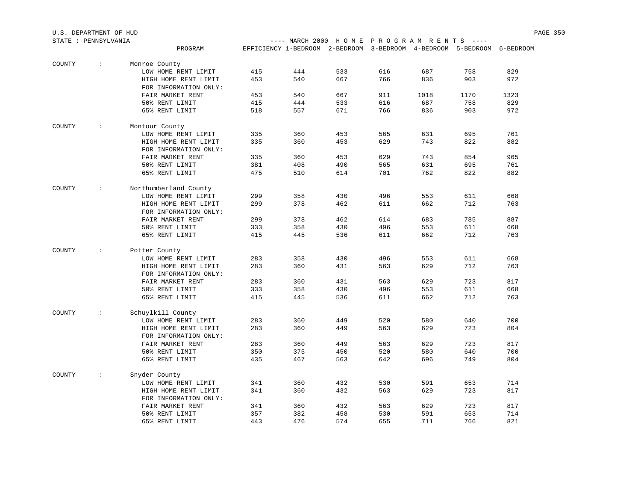|        |                      | PROGRAM                                       |     |     |     |     |      | EFFICIENCY 1-BEDROOM 2-BEDROOM 3-BEDROOM 4-BEDROOM 5-BEDROOM | 6-BEDROOM |
|--------|----------------------|-----------------------------------------------|-----|-----|-----|-----|------|--------------------------------------------------------------|-----------|
| COUNTY | $\ddot{\phantom{a}}$ | Monroe County                                 |     |     |     |     |      |                                                              |           |
|        |                      | LOW HOME RENT LIMIT                           | 415 | 444 | 533 | 616 | 687  | 758                                                          | 829       |
|        |                      | HIGH HOME RENT LIMIT<br>FOR INFORMATION ONLY: | 453 | 540 | 667 | 766 | 836  | 903                                                          | 972       |
|        |                      | FAIR MARKET RENT                              | 453 | 540 | 667 | 911 | 1018 | 1170                                                         | 1323      |
|        |                      | 50% RENT LIMIT                                | 415 | 444 | 533 | 616 | 687  | 758                                                          | 829       |
|        |                      | 65% RENT LIMIT                                | 518 | 557 | 671 | 766 | 836  | 903                                                          | 972       |
| COUNTY | $\ddot{\phantom{a}}$ | Montour County                                |     |     |     |     |      |                                                              |           |
|        |                      | LOW HOME RENT LIMIT                           | 335 | 360 | 453 | 565 | 631  | 695                                                          | 761       |
|        |                      | HIGH HOME RENT LIMIT<br>FOR INFORMATION ONLY: | 335 | 360 | 453 | 629 | 743  | 822                                                          | 882       |
|        |                      | FAIR MARKET RENT                              | 335 | 360 | 453 | 629 | 743  | 854                                                          | 965       |
|        |                      | 50% RENT LIMIT                                | 381 | 408 | 490 | 565 | 631  | 695                                                          | 761       |
|        |                      | 65% RENT LIMIT                                | 475 | 510 | 614 | 701 | 762  | 822                                                          | 882       |
| COUNTY | $\ddot{\phantom{a}}$ | Northumberland County                         |     |     |     |     |      |                                                              |           |
|        |                      | LOW HOME RENT LIMIT                           | 299 | 358 | 430 | 496 | 553  | 611                                                          | 668       |
|        |                      | HIGH HOME RENT LIMIT<br>FOR INFORMATION ONLY: | 299 | 378 | 462 | 611 | 662  | 712                                                          | 763       |
|        |                      | FAIR MARKET RENT                              | 299 | 378 | 462 | 614 | 683  | 785                                                          | 887       |
|        |                      | 50% RENT LIMIT                                | 333 | 358 | 430 | 496 | 553  | 611                                                          | 668       |
|        |                      | 65% RENT LIMIT                                | 415 | 445 | 536 | 611 | 662  | 712                                                          | 763       |
| COUNTY | $\ddot{\phantom{a}}$ | Potter County                                 |     |     |     |     |      |                                                              |           |
|        |                      | LOW HOME RENT LIMIT                           | 283 | 358 | 430 | 496 | 553  | 611                                                          | 668       |
|        |                      | HIGH HOME RENT LIMIT                          | 283 | 360 | 431 | 563 | 629  | 712                                                          | 763       |
|        |                      | FOR INFORMATION ONLY:                         |     |     |     |     |      |                                                              |           |
|        |                      | FAIR MARKET RENT                              | 283 | 360 | 431 | 563 | 629  | 723                                                          | 817       |
|        |                      | 50% RENT LIMIT                                | 333 | 358 | 430 | 496 | 553  | 611                                                          | 668       |
|        |                      | 65% RENT LIMIT                                | 415 | 445 | 536 | 611 | 662  | 712                                                          | 763       |
| COUNTY | $\ddot{\phantom{a}}$ | Schuylkill County                             | 283 | 360 | 449 | 520 | 580  | 640                                                          | 700       |
|        |                      | LOW HOME RENT LIMIT                           |     |     |     |     |      | 723                                                          | 804       |
|        |                      | HIGH HOME RENT LIMIT                          | 283 | 360 | 449 | 563 | 629  |                                                              |           |
|        |                      | FOR INFORMATION ONLY:                         |     |     |     |     |      |                                                              |           |
|        |                      | FAIR MARKET RENT                              | 283 | 360 | 449 | 563 | 629  | 723                                                          | 817       |
|        |                      | 50% RENT LIMIT                                | 350 | 375 | 450 | 520 | 580  | 640                                                          | 700       |
|        |                      | 65% RENT LIMIT                                | 435 | 467 | 563 | 642 | 696  | 749                                                          | 804       |
| COUNTY | $\ddot{\phantom{a}}$ | Snyder County<br>LOW HOME RENT LIMIT          | 341 | 360 | 432 | 530 | 591  | 653                                                          | 714       |
|        |                      | HIGH HOME RENT LIMIT                          | 341 | 360 | 432 | 563 | 629  | 723                                                          | 817       |
|        |                      | FOR INFORMATION ONLY:                         |     |     |     |     |      |                                                              |           |
|        |                      | FAIR MARKET RENT                              | 341 | 360 | 432 | 563 | 629  | 723                                                          | 817       |
|        |                      | 50% RENT LIMIT                                | 357 | 382 | 458 | 530 | 591  | 653                                                          | 714       |
|        |                      | 65% RENT LIMIT                                | 443 | 476 | 574 | 655 | 711  | 766                                                          | 821       |

U.S. DEPARTMENT OF HUD PAGE 350

---- MARCH 2000 H O M E P R O G R A M R E N T S ----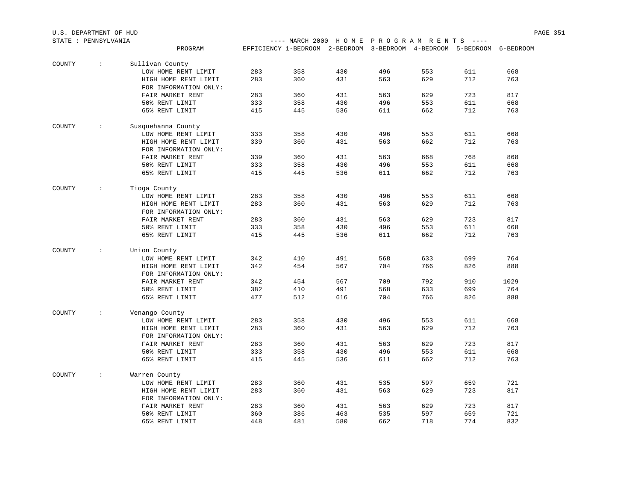| STATE : PENNSYLVANIA |               |                                               |     |     |                                                                        |     | ---- MARCH 2000 HOME PROGRAM RENTS ---- |     |      |  |  |
|----------------------|---------------|-----------------------------------------------|-----|-----|------------------------------------------------------------------------|-----|-----------------------------------------|-----|------|--|--|
|                      |               | PROGRAM                                       |     |     | EFFICIENCY 1-BEDROOM 2-BEDROOM 3-BEDROOM 4-BEDROOM 5-BEDROOM 6-BEDROOM |     |                                         |     |      |  |  |
| COUNTY               | $\div$        | Sullivan County                               |     |     |                                                                        |     |                                         |     |      |  |  |
|                      |               | LOW HOME RENT LIMIT                           | 283 | 358 | 430                                                                    | 496 | 553                                     | 611 | 668  |  |  |
|                      |               | HIGH HOME RENT LIMIT                          | 283 | 360 | 431                                                                    | 563 | 629                                     | 712 | 763  |  |  |
|                      |               | FOR INFORMATION ONLY:                         |     |     |                                                                        |     |                                         |     |      |  |  |
|                      |               | FAIR MARKET RENT                              | 283 | 360 | 431                                                                    | 563 | 629                                     | 723 | 817  |  |  |
|                      |               | 50% RENT LIMIT                                | 333 | 358 | 430                                                                    | 496 | 553                                     | 611 | 668  |  |  |
|                      |               | 65% RENT LIMIT                                | 415 | 445 | 536                                                                    | 611 | 662                                     | 712 | 763  |  |  |
| COUNTY               | $\sim 100$    | Susquehanna County                            |     |     |                                                                        |     |                                         |     |      |  |  |
|                      |               | LOW HOME RENT LIMIT                           | 333 | 358 | 430                                                                    | 496 | 553                                     | 611 | 668  |  |  |
|                      |               | HIGH HOME RENT LIMIT                          | 339 | 360 | 431                                                                    | 563 | 662                                     | 712 | 763  |  |  |
|                      |               | FOR INFORMATION ONLY:                         |     |     |                                                                        |     |                                         |     |      |  |  |
|                      |               | FAIR MARKET RENT                              | 339 | 360 | 431                                                                    | 563 | 668                                     | 768 | 868  |  |  |
|                      |               | 50% RENT LIMIT                                | 333 | 358 | 430                                                                    | 496 | 553                                     | 611 | 668  |  |  |
|                      |               | 65% RENT LIMIT                                | 415 | 445 | 536                                                                    | 611 | 662                                     | 712 | 763  |  |  |
| COUNTY               | $\sim 100$    | Tioga County                                  |     |     |                                                                        |     |                                         |     |      |  |  |
|                      |               | LOW HOME RENT LIMIT                           | 283 | 358 | 430                                                                    | 496 | 553                                     | 611 | 668  |  |  |
|                      |               | HIGH HOME RENT LIMIT                          | 283 | 360 | 431                                                                    | 563 | 629                                     | 712 | 763  |  |  |
|                      |               | FOR INFORMATION ONLY:                         |     |     |                                                                        |     |                                         |     |      |  |  |
|                      |               | FAIR MARKET RENT                              | 283 | 360 | 431                                                                    | 563 | 629                                     | 723 | 817  |  |  |
|                      |               | 50% RENT LIMIT                                | 333 | 358 | 430                                                                    | 496 | 553                                     | 611 | 668  |  |  |
|                      |               | 65% RENT LIMIT                                | 415 | 445 | 536                                                                    | 611 | 662                                     | 712 | 763  |  |  |
| COUNTY               | $\sim$ $\sim$ | Union County                                  |     |     |                                                                        |     |                                         |     |      |  |  |
|                      |               | LOW HOME RENT LIMIT                           | 342 | 410 | 491                                                                    | 568 | 633                                     | 699 | 764  |  |  |
|                      |               | HIGH HOME RENT LIMIT                          | 342 | 454 | 567                                                                    | 704 | 766                                     | 826 | 888  |  |  |
|                      |               | FOR INFORMATION ONLY:                         |     |     |                                                                        |     |                                         |     |      |  |  |
|                      |               | FAIR MARKET RENT                              | 342 | 454 | 567                                                                    | 709 | 792                                     | 910 | 1029 |  |  |
|                      |               | 50% RENT LIMIT                                | 382 | 410 | 491                                                                    | 568 | 633                                     | 699 | 764  |  |  |
|                      |               | 65% RENT LIMIT                                | 477 | 512 | 616                                                                    | 704 | 766                                     | 826 | 888  |  |  |
| COUNTY               | $\sim$ $\sim$ | Venango County                                |     |     |                                                                        |     |                                         |     |      |  |  |
|                      |               | LOW HOME RENT LIMIT                           | 283 | 358 | 430                                                                    | 496 | 553                                     | 611 | 668  |  |  |
|                      |               | HIGH HOME RENT LIMIT                          | 283 | 360 | 431                                                                    | 563 | 629                                     | 712 | 763  |  |  |
|                      |               | FOR INFORMATION ONLY:                         |     |     |                                                                        |     |                                         |     |      |  |  |
|                      |               | FAIR MARKET RENT                              | 283 | 360 | 431                                                                    | 563 | 629                                     | 723 | 817  |  |  |
|                      |               | 50% RENT LIMIT                                | 333 | 358 | 430                                                                    | 496 | 553                                     | 611 | 668  |  |  |
|                      |               | 65% RENT LIMIT                                | 415 | 445 | 536                                                                    | 611 | 662                                     | 712 | 763  |  |  |
| COUNTY               | $\cdot$ :     | Warren County                                 |     |     |                                                                        |     |                                         |     |      |  |  |
|                      |               | LOW HOME RENT LIMIT                           | 283 | 360 | 431                                                                    | 535 | 597                                     | 659 | 721  |  |  |
|                      |               | HIGH HOME RENT LIMIT<br>FOR INFORMATION ONLY: | 283 | 360 | 431                                                                    | 563 | 629                                     | 723 | 817  |  |  |
|                      |               | FAIR MARKET RENT                              | 283 | 360 | 431                                                                    | 563 | 629                                     | 723 | 817  |  |  |
|                      |               | 50% RENT LIMIT                                | 360 | 386 | 463                                                                    | 535 | 597                                     | 659 | 721  |  |  |
|                      |               | 65% RENT LIMIT                                | 448 | 481 | 580                                                                    | 662 | 718                                     | 774 | 832  |  |  |
|                      |               |                                               |     |     |                                                                        |     |                                         |     |      |  |  |